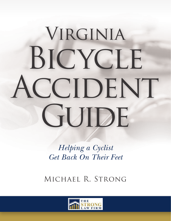# Virginia BICYCLE ACCIDENT GUIDE

*Helping a Cyclist Get Back On Their Feet*

Michael R. Strong

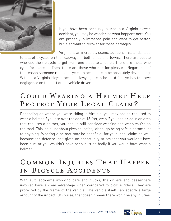

If you have been seriously injured in a Virginia bicycle accident, you may be wondering what happens next. You are probably in immense pain and want to get better, but also want to recover for these damages.

Virginia is an incredibly scenic location. This lends itself to lots of bicycles on the roadways in both cities and towns. There are people who use their bicycle to get from one place to another. There are those who cycle for exercise. Then, there are those who ride for pleasure. Regardless of the reason someone rides a bicycle, an accident can be absolutely devastating. Without a Virginia bicycle accident lawyer, it can be hard for cyclists to prove negligence on the part of the vehicle driver.

## Could Wearing a Helmet Help PROTECT YOUR LEGAL CLAIM?

Depending on where you were riding in Virginia, you may not be required to wear a helmet if you are over the age of 15. Yet, even if you don't ride in an area that requires a helmet, you should still consider wearing one when you're on the road. This isn't just about physical safety, although being safe is paramount to anything. Wearing a helmet may be beneficial for your legal claim as well because the defense isn't given an opportunity to say that you wouldn't have been hurt or you wouldn't have been hurt as badly if you would have worn a helmet.

## COMMON INJURIES THAT HAPPEN in Bicycle Accidents

With auto accidents involving cars and trucks, the drivers and passengers involved have a clear advantage when compared to bicycle riders. They are protected by the frame of the vehicle. The vehicle itself can absorb a large amount of the impact. Of course, that doesn't mean there won't be any injuries.

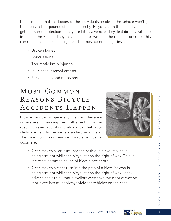It just means that the bodies of the individuals inside of the vehicle won't get the thousands of pounds of impact directly. Bicyclists, on the other hand, don't get that same protection. If they are hit by a vehicle, they deal directly with the impact of the vehicle. They may also be thrown onto the road or concrete. This can result in catastrophic injuries. The most common injuries are:

- » Broken bones
- » Concussions
- » Traumatic brain injuries
- » Injuries to internal organs
- » Serious cuts and abrasions

## MOST COMMON Reasons Bicycle Accidents Happen

Bicycle accidents generally happen because drivers aren't devoting their full attention to the road. However, you should also know that bicyclists are held to the same standard as drivers. The most common reasons bicycle accidents occur are:



- » A car makes a left turn into the path of a bicyclist who is going straight while the bicyclist has the right of way. This is the most common cause of bicycle accidents.
- » A car makes a right turn into the path of a bicyclist who is going straight while the bicyclist has the right of way. Many drivers don't think that bicyclists ever have the right of way or that bicyclists must always yield for vehicles on the road.

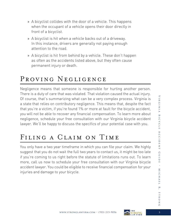- » A bicyclist collides with the door of a vehicle. This happens when the occupant of a vehicle opens their door directly in front of a bicyclist.
- » A bicyclist is hit when a vehicle backs out of a driveway. In this instance, drivers are generally not paying enough attention to the road.
- » A bicyclist is hit from behind by a vehicle. These don't happen as often as the accidents listed above, but they often cause permanent injury or death.

#### PROVING NEGLIGENCE

Negligence means that someone is responsible for hurting another person. There is a duty of care that was violated. That violation caused the actual injury. Of course, that's summarizing what can be a very complex process. Virginia is a state that relies on contributory negligence. This means that, despite the fact that you're a victim, if you're found 1% or more at fault for the bicycle accident, you will not be able to recover any financial compensation. To learn more about negligence, schedule your free consultation with our Virginia bicycle accident lawyer. We'll be happy to discuss the specifics of your potential case with you.

### Filing a Claim on Time

You only have a two year timeframe in which you can file your claim. We highly suggest that you do not wait the full two years to contact us, it might be too late if you're coming to us right before the statute of limitations runs out. To learn more, call us now to schedule your free consultation with our Virginia bicycle accident lawyer. You could be eligible to receive financial compensation for your injuries and damage to your bicycle.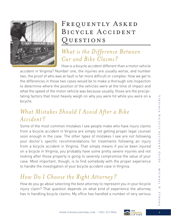

## FREQUENTLY ASKED Bicycle Accident QUESTIONS

#### *What is the Difference Between Car and Bike Claims?*

How is a bicycle accident different than a motor vehicle accident in Virginia? Number one, the injuries are usually worse, and number two, the proof of who was at fault is far more difficult or complex. How we get to the differences in those two cases would be to make a thorough site inspection to determine where the position of the vehicles were at the time of impact and what the speed of the motor vehicle was because usually, those are the precipitating factors that most heavily weigh on why you were hit while you were on a bicycle.

#### *What Mistakes Should I Avoid After a Bike Accident?*

Some of the most common mistakes I see people make who have injury claims from a bicycle accident in Virginia are simply not getting proper legal counsel soon enough in the case. The other types of mistakes I see are not following your doctor's specific recommendations for treatments following an injury from a bicycle accident in Virginia. That simply means if you've been injured on a bicycle in Virginia, you probably have some pretty severe injuries and not looking after those properly is going to severely compromise the value of your case. Most important, though, is to find somebody with the proper experience to handle the investigation of your bicycle accident case in Virginia.

### *How Do I Choose the Right Attorney?*

How do you go about selecting the best attorney to represent you in your bicycle injury claim? That question depends on what kind of experience the attorney has in handling bicycle claims. My office has handled a number of very serious

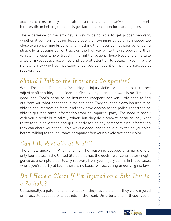accident claims for bicycle operators over the years, and we've had some excellent results in helping our clients get fair compensation for those injuries.

The experience of the attorney is key to being able to get proper recovery, whether it be from another bicycle operator swinging by at a high speed too close to an oncoming bicyclist and knocking them over as they pass by, or being struck by a passing car or truck on the highway while they're operating their vehicle in proper lane of travel in the right direction. Those types of claims take a lot of investigative expertise and careful attention to detail. If you hire the right attorney who has that experience, you can count on having a successful recovery too.

#### *Should I Talk to the Insurance Companies?*

When I'm asked if it's okay for a bicycle injury victim to talk to an insurance adjuster after a bicycle accident in Virginia, my normal answer is no, it's not a good idea. That's because the insurance company has very little need to find out from you what happened in the accident. They have their own insured to be able to get information from, and they have access to the police reports to be able to get that same information from an impartial party. The need to speak with you directly is relatively minor, but they do it anyway because they want to try to take advantage and get in early to find any compromising information they can about your case. It's always a good idea to have a lawyer on your side before talking to the insurance company after your bicycle accident claim.

#### *Can I Be Partially at Fault?*

The simple answer in Virginia is, no. The reason is because Virginia is one of only four states in the United States that has the doctrine of contributory negligence as a complete bar to any recovery from your injury claim. In those cases where you're partly at fault, there is no basis for recovering under Virginia law.

#### *Do I Have a Claim If I'm Injured on a Bike Due to a Pothole?*

Occasionally, a potential client will ask if they have a claim if they were injured on a bicycle because of a pothole in the road. Unfortunately, in those type of





 $\Omega$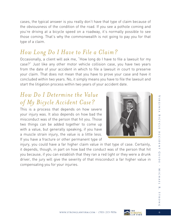cases, the typical answer is you really don't have that type of claim because of the obviousness of the condition of the road. If you see a pothole coming and you're driving at a bicycle speed on a roadway, it's normally possible to see those coming. That's why the commonwealth is not going to pay you for that type of a claim.

#### *How Long Do I Have to File a Claim?*

Occasionally, a client will ask me, "How long do I have to file a lawsuit for my case?" Just like any other motor vehicle collision case, you have two years from the date of your accident in which to file a lawsuit in court to preserve your claim. That does not mean that you have to prove your case and have it concluded within two years. No, it simply means you have to file the lawsuit and start the litigation process within two years of your accident date.

#### *How Do I Determine the Value of My Bicycle Accident Case?*

This is a process that depends on how severe your injury was. It also depends on how bad the misconduct was of the person that hit you. Those two things can be added together to come up with a value, but generally speaking, if you have a muscle strain injury, the value is a little less. If you have a fracture or other permanent type of

injury, you could have a far higher claim value in that type of case. Certainly, it depends, though, in part on how bad the conduct was of the person that hit you because, if you can establish that they ran a red light or they were a drunk driver, the jury will give the severity of that misconduct a far higher value in compensating you for your injuries.



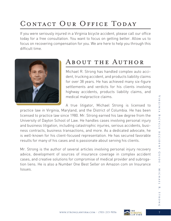## CONTACT OUR OFFICE TODAY

If you were seriously injured in a Virginia bicycle accident, please call our office today for a free consultation. You want to focus on getting better. Allow us to focus on recovering compensation for you. We are here to help you through this difficult time.



#### About the Author

Michael R. Strong has handled complex auto accident, trucking accident, and products liability claims for over 38 years. He has achieved many six-figure settlements and verdicts for his clients involving highway accidents, products liability claims, and medical malpractice claims.

A true litigator, Michael Strong is licensed to practice law in Virginia, Maryland, and the District of Columbia. He has been licensed to practice law since 1980. Mr. Strong earned his law degree from the University of Dayton School of Law. He handles cases involving personal injury and business litigation, including catastrophic injuries, serious accidents, business contracts, business transactions, and more. As a dedicated advocate, he is well-known for his client-focused representation. He has secured favorable results for many of his cases and is passionate about serving his clients.

Mr. Strong is the author of several articles involving personal injury recovery advice, development of sources of insurance coverage in complex accident cases, and creative solutions for compromise of medical provider and subrogation liens. He is also a Number One Best Seller on Amazon com on Insurance Issues.